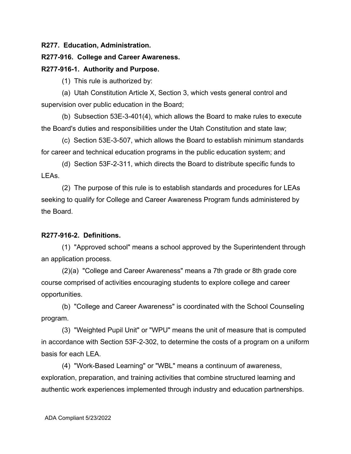**R277. Education, Administration.**

### **R277-916. College and Career Awareness.**

#### **R277-916-1. Authority and Purpose.**

(1) This rule is authorized by:

(a) Utah Constitution Article X, Section 3, which vests general control and supervision over public education in the Board;

(b) Subsection 53E-3-401(4), which allows the Board to make rules to execute the Board's duties and responsibilities under the Utah Constitution and state law;

(c) Section 53E-3-507, which allows the Board to establish minimum standards for career and technical education programs in the public education system; and

(d) Section 53F-2-311, which directs the Board to distribute specific funds to LEAs.

(2) The purpose of this rule is to establish standards and procedures for LEAs seeking to qualify for College and Career Awareness Program funds administered by the Board.

### **R277-916-2. Definitions.**

(1) "Approved school" means a school approved by the Superintendent through an application process.

(2)(a) "College and Career Awareness" means a 7th grade or 8th grade core course comprised of activities encouraging students to explore college and career opportunities.

(b) "College and Career Awareness" is coordinated with the School Counseling program.

(3) "Weighted Pupil Unit" or "WPU" means the unit of measure that is computed in accordance with Section 53F-2-302, to determine the costs of a program on a uniform basis for each LEA.

(4) "Work-Based Learning" or "WBL" means a continuum of awareness, exploration, preparation, and training activities that combine structured learning and authentic work experiences implemented through industry and education partnerships.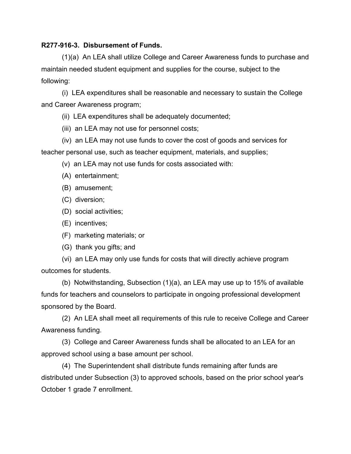# **R277-916-3. Disbursement of Funds.**

(1)(a) An LEA shall utilize College and Career Awareness funds to purchase and maintain needed student equipment and supplies for the course, subject to the following:

(i) LEA expenditures shall be reasonable and necessary to sustain the College and Career Awareness program;

(ii) LEA expenditures shall be adequately documented;

(iii) an LEA may not use for personnel costs;

(iv) an LEA may not use funds to cover the cost of goods and services for teacher personal use, such as teacher equipment, materials, and supplies;

(v) an LEA may not use funds for costs associated with:

(A) entertainment;

(B) amusement;

(C) diversion;

(D) social activities;

(E) incentives;

(F) marketing materials; or

(G) thank you gifts; and

(vi) an LEA may only use funds for costs that will directly achieve program outcomes for students.

(b) Notwithstanding, Subsection (1)(a), an LEA may use up to 15% of available funds for teachers and counselors to participate in ongoing professional development sponsored by the Board.

(2) An LEA shall meet all requirements of this rule to receive College and Career Awareness funding.

(3) College and Career Awareness funds shall be allocated to an LEA for an approved school using a base amount per school.

(4) The Superintendent shall distribute funds remaining after funds are distributed under Subsection (3) to approved schools, based on the prior school year's October 1 grade 7 enrollment.